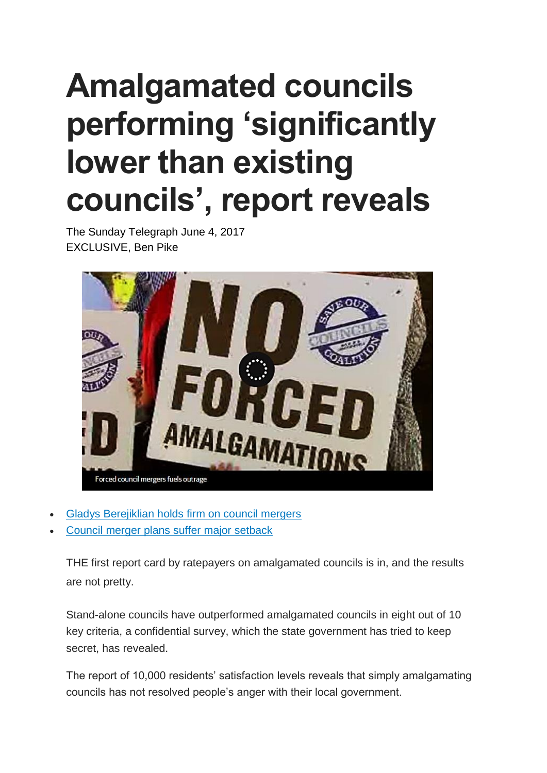## **Amalgamated councils performing 'significantly lower than existing councils', report reveals**

The Sunday Telegraph June 4, 2017 EXCLUSIVE, Ben Pike



- Gladys [Berejiklian](http://www.dailytelegraph.com.au/news/nsw/council-mergers-premier-gladys-berejiklian-delivers-verdict-on-amalgamations/news-story/027c68c0e3ab4c3e5be798c362a8aa18) holds firm on council mergers
- Council merger plans suffer major [setback](http://www.dailytelegraph.com.au/news/nsw/the-state-governments-council-merger-plans-suffer-major-setback/news-story/504437d473ed2b1cf4d1263153ccf8d6)

THE first report card by ratepayers on amalgamated councils is in, and the results are not pretty.

Stand-alone councils have outperformed amalgamated councils in eight out of 10 key criteria, a confidential survey, which the state government has tried to keep secret, has revealed.

The report of 10,000 residents' satisfaction levels reveals that simply amalgamating councils has not resolved people's anger with their local government.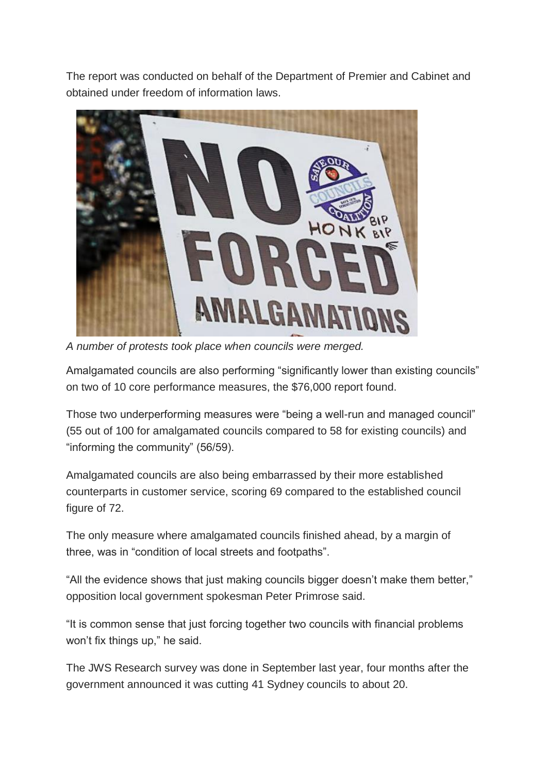The report was conducted on behalf of the Department of Premier and Cabinet and obtained under freedom of information laws.



*A number of protests took place when councils were merged.*

Amalgamated councils are also performing "significantly lower than existing councils" on two of 10 core performance measures, the \$76,000 report found.

Those two underperforming measures were "being a well-run and managed council" (55 out of 100 for amalgamated councils compared to 58 for existing councils) and "informing the community" (56/59).

Amalgamated councils are also being embarrassed by their more established counterparts in customer service, scoring 69 compared to the established council figure of 72.

The only measure where amalgamated councils finished ahead, by a margin of three, was in "condition of local streets and footpaths".

"All the evidence shows that just making councils bigger doesn't make them better," opposition local government spokesman Peter Primrose said.

"It is common sense that just forcing together two councils with financial problems won't fix things up," he said.

The JWS Research survey was done in September last year, four months after the government announced it was cutting 41 Sydney councils to about 20.